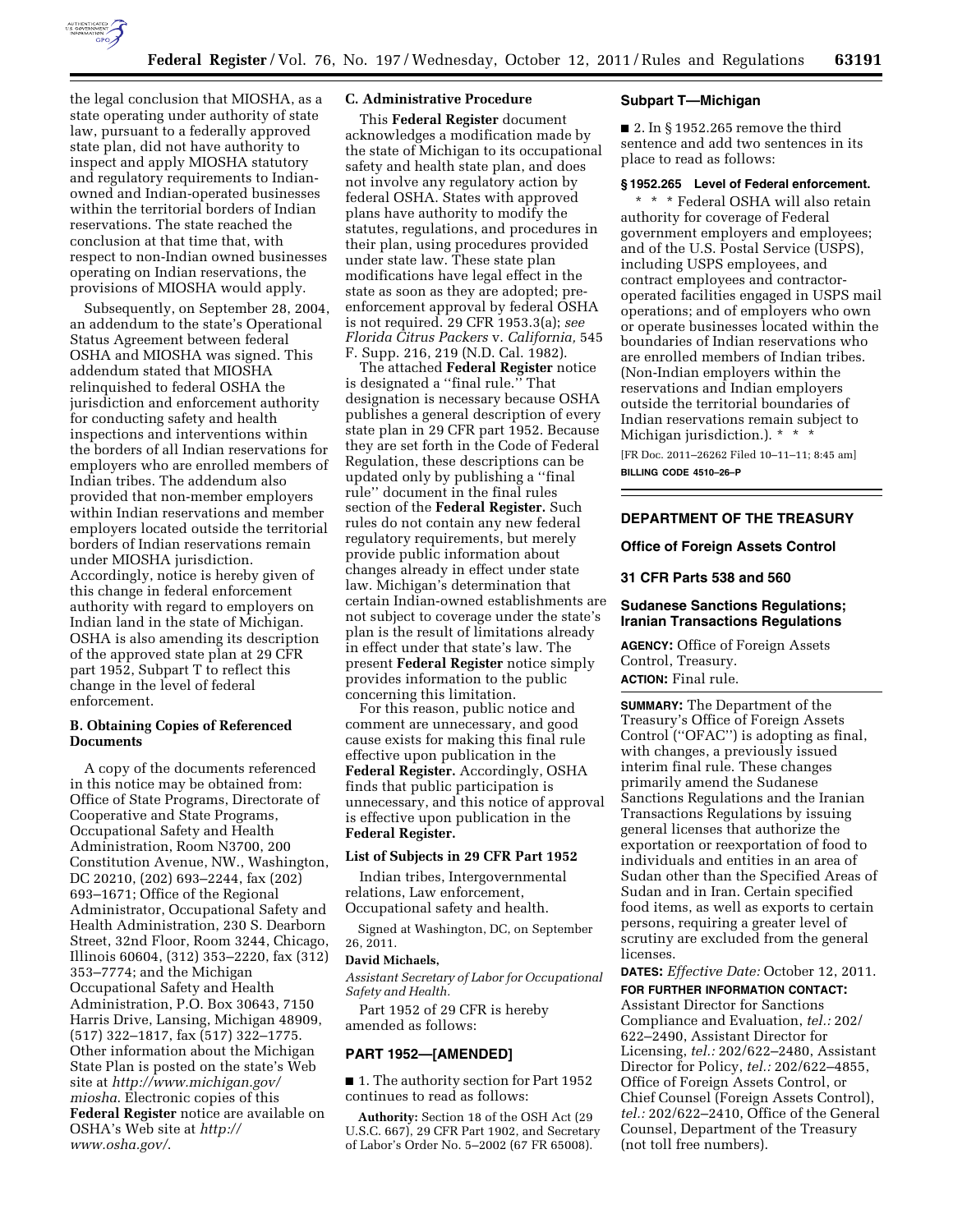

the legal conclusion that MIOSHA, as a state operating under authority of state law, pursuant to a federally approved state plan, did not have authority to inspect and apply MIOSHA statutory and regulatory requirements to Indianowned and Indian-operated businesses within the territorial borders of Indian reservations. The state reached the conclusion at that time that, with respect to non-Indian owned businesses operating on Indian reservations, the provisions of MIOSHA would apply.

Subsequently, on September 28, 2004, an addendum to the state's Operational Status Agreement between federal OSHA and MIOSHA was signed. This addendum stated that MIOSHA relinquished to federal OSHA the jurisdiction and enforcement authority for conducting safety and health inspections and interventions within the borders of all Indian reservations for employers who are enrolled members of Indian tribes. The addendum also provided that non-member employers within Indian reservations and member employers located outside the territorial borders of Indian reservations remain under MIOSHA jurisdiction. Accordingly, notice is hereby given of this change in federal enforcement authority with regard to employers on Indian land in the state of Michigan. OSHA is also amending its description of the approved state plan at 29 CFR part 1952, Subpart T to reflect this change in the level of federal enforcement.

## **B. Obtaining Copies of Referenced Documents**

A copy of the documents referenced in this notice may be obtained from: Office of State Programs, Directorate of Cooperative and State Programs, Occupational Safety and Health Administration, Room N3700, 200 Constitution Avenue, NW., Washington, DC 20210, (202) 693–2244, fax (202) 693–1671; Office of the Regional Administrator, Occupational Safety and Health Administration, 230 S. Dearborn Street, 32nd Floor, Room 3244, Chicago, Illinois 60604, (312) 353–2220, fax (312) 353–7774; and the Michigan Occupational Safety and Health Administration, P.O. Box 30643, 7150 Harris Drive, Lansing, Michigan 48909, (517) 322–1817, fax (517) 322–1775. Other information about the Michigan State Plan is posted on the state's Web site at *[http://www.michigan.gov/](http://www.michigan.gov/miosha) [miosha](http://www.michigan.gov/miosha)*. Electronic copies of this **Federal Register** notice are available on OSHA's Web site at *[http://](http://www.osha.gov/)  [www.osha.gov/](http://www.osha.gov/)*.

## **C. Administrative Procedure**

This **Federal Register** document acknowledges a modification made by the state of Michigan to its occupational safety and health state plan, and does not involve any regulatory action by federal OSHA. States with approved plans have authority to modify the statutes, regulations, and procedures in their plan, using procedures provided under state law. These state plan modifications have legal effect in the state as soon as they are adopted; preenforcement approval by federal OSHA is not required. 29 CFR 1953.3(a); *see Florida Citrus Packers* v. *California,* 545 F. Supp. 216, 219 (N.D. Cal. 1982).

The attached **Federal Register** notice is designated a ''final rule.'' That designation is necessary because OSHA publishes a general description of every state plan in 29 CFR part 1952. Because they are set forth in the Code of Federal Regulation, these descriptions can be updated only by publishing a ''final rule'' document in the final rules section of the **Federal Register.** Such rules do not contain any new federal regulatory requirements, but merely provide public information about changes already in effect under state law. Michigan's determination that certain Indian-owned establishments are not subject to coverage under the state's plan is the result of limitations already in effect under that state's law. The present **Federal Register** notice simply provides information to the public concerning this limitation.

For this reason, public notice and comment are unnecessary, and good cause exists for making this final rule effective upon publication in the **Federal Register.** Accordingly, OSHA finds that public participation is unnecessary, and this notice of approval is effective upon publication in the **Federal Register.** 

#### **List of Subjects in 29 CFR Part 1952**

Indian tribes, Intergovernmental relations, Law enforcement, Occupational safety and health.

Signed at Washington, DC, on September 26, 2011.

### **David Michaels,**

*Assistant Secretary of Labor for Occupational Safety and Health.* 

Part 1952 of 29 CFR is hereby amended as follows:

#### **PART 1952—[AMENDED]**

■ 1. The authority section for Part 1952 continues to read as follows:

**Authority:** Section 18 of the OSH Act (29 U.S.C. 667), 29 CFR Part 1902, and Secretary of Labor's Order No. 5–2002 (67 FR 65008).

#### **Subpart T—Michigan**

 $\blacksquare$  2. In § 1952.265 remove the third sentence and add two sentences in its place to read as follows:

#### **§ 1952.265 Level of Federal enforcement.**

\* \* \* Federal OSHA will also retain authority for coverage of Federal government employers and employees; and of the U.S. Postal Service (USPS), including USPS employees, and contract employees and contractoroperated facilities engaged in USPS mail operations; and of employers who own or operate businesses located within the boundaries of Indian reservations who are enrolled members of Indian tribes. (Non-Indian employers within the reservations and Indian employers outside the territorial boundaries of Indian reservations remain subject to Michigan jurisdiction.). \* \* \*

[FR Doc. 2011–26262 Filed 10–11–11; 8:45 am] **BILLING CODE 4510–26–P** 

### **DEPARTMENT OF THE TREASURY**

### **Office of Foreign Assets Control**

#### **31 CFR Parts 538 and 560**

## **Sudanese Sanctions Regulations; Iranian Transactions Regulations**

**AGENCY:** Office of Foreign Assets Control, Treasury. **ACTION:** Final rule.

**SUMMARY:** The Department of the Treasury's Office of Foreign Assets Control (''OFAC'') is adopting as final, with changes, a previously issued interim final rule. These changes primarily amend the Sudanese Sanctions Regulations and the Iranian Transactions Regulations by issuing general licenses that authorize the exportation or reexportation of food to individuals and entities in an area of Sudan other than the Specified Areas of Sudan and in Iran. Certain specified food items, as well as exports to certain persons, requiring a greater level of scrutiny are excluded from the general licenses.

**DATES:** *Effective Date:* October 12, 2011. **FOR FURTHER INFORMATION CONTACT:**  Assistant Director for Sanctions Compliance and Evaluation, *tel.:* 202/ 622–2490, Assistant Director for Licensing, *tel.:* 202/622–2480, Assistant Director for Policy, *tel.:* 202/622–4855, Office of Foreign Assets Control, or Chief Counsel (Foreign Assets Control), *tel.:* 202/622–2410, Office of the General Counsel, Department of the Treasury (not toll free numbers).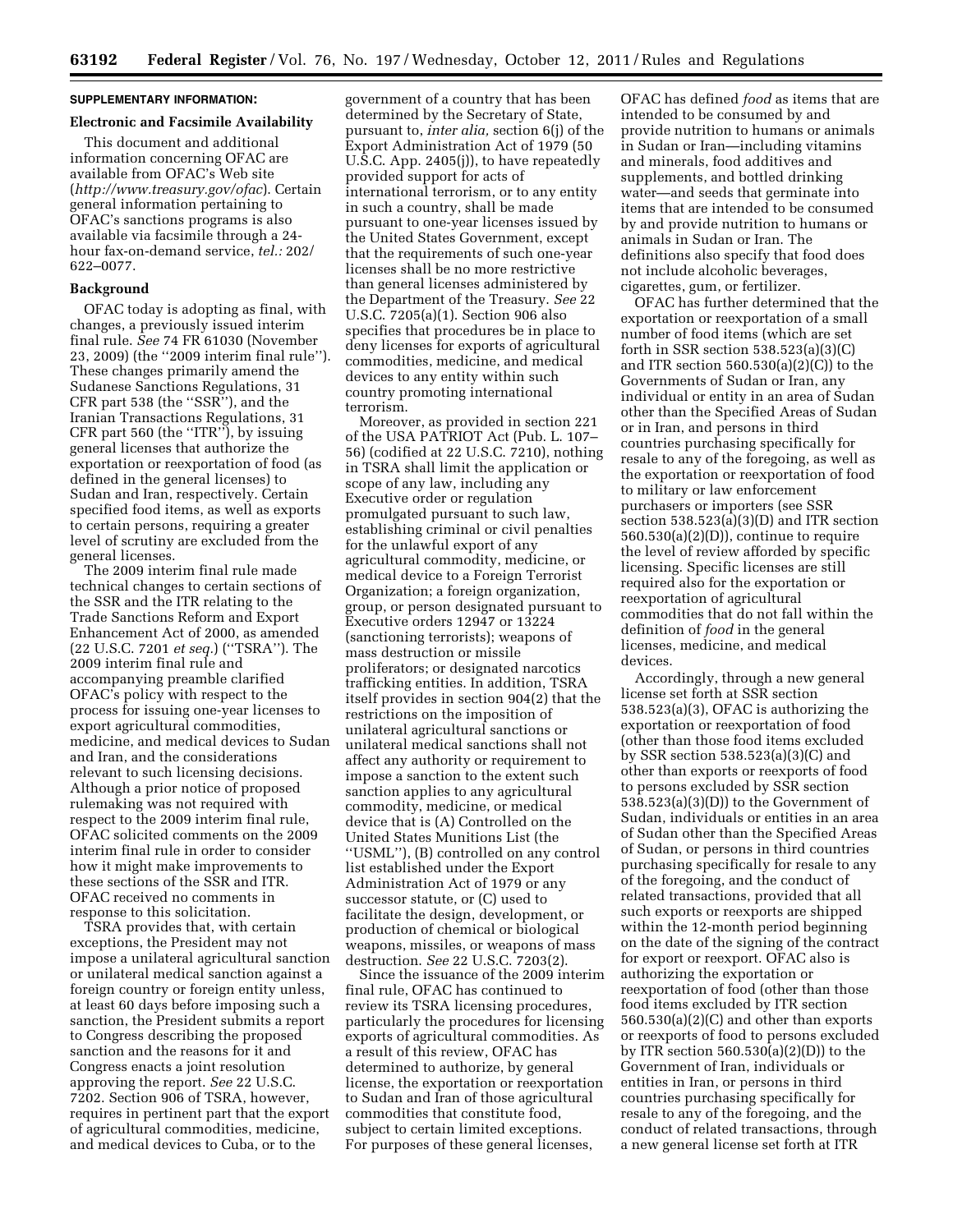# **SUPPLEMENTARY INFORMATION:**

# **Electronic and Facsimile Availability**

This document and additional information concerning OFAC are available from OFAC's Web site (*<http://www.treasury.gov/ofac>*). Certain general information pertaining to OFAC's sanctions programs is also available via facsimile through a 24 hour fax-on-demand service, *tel.:* 202/ 622–0077.

### **Background**

OFAC today is adopting as final, with changes, a previously issued interim final rule. *See* 74 FR 61030 (November 23, 2009) (the ''2009 interim final rule''). These changes primarily amend the Sudanese Sanctions Regulations, 31 CFR part 538 (the ''SSR''), and the Iranian Transactions Regulations, 31 CFR part 560 (the ''ITR''), by issuing general licenses that authorize the exportation or reexportation of food (as defined in the general licenses) to Sudan and Iran, respectively. Certain specified food items, as well as exports to certain persons, requiring a greater level of scrutiny are excluded from the general licenses.

The 2009 interim final rule made technical changes to certain sections of the SSR and the ITR relating to the Trade Sanctions Reform and Export Enhancement Act of 2000, as amended (22 U.S.C. 7201 *et seq.*) (''TSRA''). The 2009 interim final rule and accompanying preamble clarified OFAC's policy with respect to the process for issuing one-year licenses to export agricultural commodities, medicine, and medical devices to Sudan and Iran, and the considerations relevant to such licensing decisions. Although a prior notice of proposed rulemaking was not required with respect to the 2009 interim final rule, OFAC solicited comments on the 2009 interim final rule in order to consider how it might make improvements to these sections of the SSR and ITR. OFAC received no comments in response to this solicitation.

TSRA provides that, with certain exceptions, the President may not impose a unilateral agricultural sanction or unilateral medical sanction against a foreign country or foreign entity unless, at least 60 days before imposing such a sanction, the President submits a report to Congress describing the proposed sanction and the reasons for it and Congress enacts a joint resolution approving the report. *See* 22 U.S.C. 7202. Section 906 of TSRA, however, requires in pertinent part that the export of agricultural commodities, medicine, and medical devices to Cuba, or to the

government of a country that has been determined by the Secretary of State, pursuant to, *inter alia,* section 6(j) of the Export Administration Act of 1979 (50 U.S.C. App. 2405(j)), to have repeatedly provided support for acts of international terrorism, or to any entity in such a country, shall be made pursuant to one-year licenses issued by the United States Government, except that the requirements of such one-year licenses shall be no more restrictive than general licenses administered by the Department of the Treasury. *See* 22 U.S.C. 7205(a)(1). Section 906 also specifies that procedures be in place to deny licenses for exports of agricultural commodities, medicine, and medical devices to any entity within such country promoting international terrorism.

Moreover, as provided in section 221 of the USA PATRIOT Act (Pub. L. 107– 56) (codified at 22 U.S.C. 7210), nothing in TSRA shall limit the application or scope of any law, including any Executive order or regulation promulgated pursuant to such law, establishing criminal or civil penalties for the unlawful export of any agricultural commodity, medicine, or medical device to a Foreign Terrorist Organization; a foreign organization, group, or person designated pursuant to Executive orders 12947 or 13224 (sanctioning terrorists); weapons of mass destruction or missile proliferators; or designated narcotics trafficking entities. In addition, TSRA itself provides in section 904(2) that the restrictions on the imposition of unilateral agricultural sanctions or unilateral medical sanctions shall not affect any authority or requirement to impose a sanction to the extent such sanction applies to any agricultural commodity, medicine, or medical device that is (A) Controlled on the United States Munitions List (the ''USML''), (B) controlled on any control list established under the Export Administration Act of 1979 or any successor statute, or (C) used to facilitate the design, development, or production of chemical or biological weapons, missiles, or weapons of mass destruction. *See* 22 U.S.C. 7203(2).

Since the issuance of the 2009 interim final rule, OFAC has continued to review its TSRA licensing procedures, particularly the procedures for licensing exports of agricultural commodities. As a result of this review, OFAC has determined to authorize, by general license, the exportation or reexportation to Sudan and Iran of those agricultural commodities that constitute food, subject to certain limited exceptions. For purposes of these general licenses,

OFAC has defined *food* as items that are intended to be consumed by and provide nutrition to humans or animals in Sudan or Iran—including vitamins and minerals, food additives and supplements, and bottled drinking water—and seeds that germinate into items that are intended to be consumed by and provide nutrition to humans or animals in Sudan or Iran. The definitions also specify that food does not include alcoholic beverages, cigarettes, gum, or fertilizer.

OFAC has further determined that the exportation or reexportation of a small number of food items (which are set forth in SSR section 538.523(a)(3)(C) and ITR section  $560.530(a)(2)(C)$  to the Governments of Sudan or Iran, any individual or entity in an area of Sudan other than the Specified Areas of Sudan or in Iran, and persons in third countries purchasing specifically for resale to any of the foregoing, as well as the exportation or reexportation of food to military or law enforcement purchasers or importers (see SSR section 538.523(a)(3)(D) and ITR section  $560.530(a)(2)(D)$ , continue to require the level of review afforded by specific licensing. Specific licenses are still required also for the exportation or reexportation of agricultural commodities that do not fall within the definition of *food* in the general licenses, medicine, and medical devices.

Accordingly, through a new general license set forth at SSR section 538.523(a)(3), OFAC is authorizing the exportation or reexportation of food (other than those food items excluded by SSR section 538.523(a)(3)(C) and other than exports or reexports of food to persons excluded by SSR section 538.523(a)(3)(D)) to the Government of Sudan, individuals or entities in an area of Sudan other than the Specified Areas of Sudan, or persons in third countries purchasing specifically for resale to any of the foregoing, and the conduct of related transactions, provided that all such exports or reexports are shipped within the 12-month period beginning on the date of the signing of the contract for export or reexport. OFAC also is authorizing the exportation or reexportation of food (other than those food items excluded by ITR section 560.530(a)(2)(C) and other than exports or reexports of food to persons excluded by ITR section  $560.530(a)(2)(D)$  to the Government of Iran, individuals or entities in Iran, or persons in third countries purchasing specifically for resale to any of the foregoing, and the conduct of related transactions, through a new general license set forth at ITR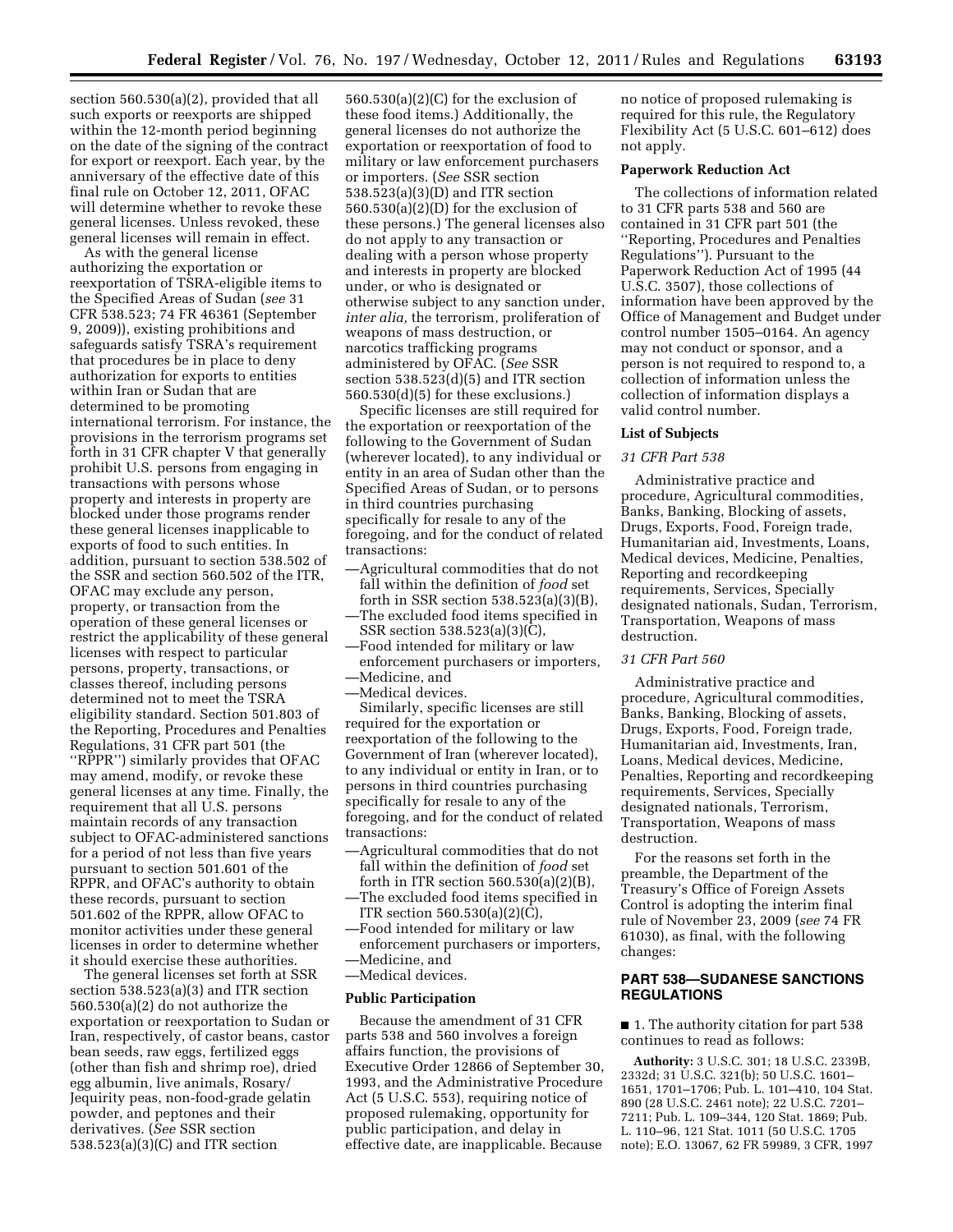section 560.530(a)(2), provided that all such exports or reexports are shipped within the 12-month period beginning on the date of the signing of the contract for export or reexport. Each year, by the anniversary of the effective date of this final rule on October 12, 2011, OFAC will determine whether to revoke these general licenses. Unless revoked, these general licenses will remain in effect.

As with the general license authorizing the exportation or reexportation of TSRA-eligible items to the Specified Areas of Sudan (*see* 31 CFR 538.523; 74 FR 46361 (September 9, 2009)), existing prohibitions and safeguards satisfy TSRA's requirement that procedures be in place to deny authorization for exports to entities within Iran or Sudan that are determined to be promoting international terrorism. For instance, the provisions in the terrorism programs set forth in 31 CFR chapter V that generally prohibit U.S. persons from engaging in transactions with persons whose property and interests in property are blocked under those programs render these general licenses inapplicable to exports of food to such entities. In addition, pursuant to section 538.502 of the SSR and section 560.502 of the ITR, OFAC may exclude any person, property, or transaction from the operation of these general licenses or restrict the applicability of these general licenses with respect to particular persons, property, transactions, or classes thereof, including persons determined not to meet the TSRA eligibility standard. Section 501.803 of the Reporting, Procedures and Penalties Regulations, 31 CFR part 501 (the ''RPPR'') similarly provides that OFAC may amend, modify, or revoke these general licenses at any time. Finally, the requirement that all U.S. persons maintain records of any transaction subject to OFAC-administered sanctions for a period of not less than five years pursuant to section 501.601 of the RPPR, and OFAC's authority to obtain these records, pursuant to section 501.602 of the RPPR, allow OFAC to monitor activities under these general licenses in order to determine whether it should exercise these authorities.

The general licenses set forth at SSR section 538.523(a)(3) and ITR section 560.530(a)(2) do not authorize the exportation or reexportation to Sudan or Iran, respectively, of castor beans, castor bean seeds, raw eggs, fertilized eggs (other than fish and shrimp roe), dried egg albumin, live animals, Rosary/ Jequirity peas, non-food-grade gelatin powder, and peptones and their derivatives. (*See* SSR section 538.523(a)(3)(C) and ITR section

560.530(a)(2)(C) for the exclusion of these food items.) Additionally, the general licenses do not authorize the exportation or reexportation of food to military or law enforcement purchasers or importers. (*See* SSR section 538.523(a)(3)(D) and ITR section 560.530(a)(2)(D) for the exclusion of these persons.) The general licenses also do not apply to any transaction or dealing with a person whose property and interests in property are blocked under, or who is designated or otherwise subject to any sanction under, *inter alia,* the terrorism, proliferation of weapons of mass destruction, or narcotics trafficking programs administered by OFAC. (*See* SSR section 538.523(d)(5) and ITR section 560.530(d)(5) for these exclusions.)

Specific licenses are still required for the exportation or reexportation of the following to the Government of Sudan (wherever located), to any individual or entity in an area of Sudan other than the Specified Areas of Sudan, or to persons in third countries purchasing specifically for resale to any of the foregoing, and for the conduct of related transactions:

- —Agricultural commodities that do not fall within the definition of *food* set forth in SSR section 538.523(a)(3)(B), —The excluded food items specified in
- SSR section 538.523(a)(3)(C), —Food intended for military or law
- enforcement purchasers or importers, —Medicine, and
- —Medical devices.

Similarly, specific licenses are still required for the exportation or reexportation of the following to the Government of Iran (wherever located), to any individual or entity in Iran, or to persons in third countries purchasing specifically for resale to any of the foregoing, and for the conduct of related transactions:

- —Agricultural commodities that do not fall within the definition of *food* set forth in ITR section  $560.530(a)(2)(B)$ ,
- —The excluded food items specified in ITR section 560.530(a)(2)(C),
- —Food intended for military or law
- enforcement purchasers or importers, —Medicine, and
- —Medical devices.

## **Public Participation**

Because the amendment of 31 CFR parts 538 and 560 involves a foreign affairs function, the provisions of Executive Order 12866 of September 30, 1993, and the Administrative Procedure Act (5 U.S.C. 553), requiring notice of proposed rulemaking, opportunity for public participation, and delay in effective date, are inapplicable. Because

no notice of proposed rulemaking is required for this rule, the Regulatory Flexibility Act (5 U.S.C. 601–612) does not apply.

# **Paperwork Reduction Act**

The collections of information related to 31 CFR parts 538 and 560 are contained in 31 CFR part 501 (the ''Reporting, Procedures and Penalties Regulations''). Pursuant to the Paperwork Reduction Act of 1995 (44 U.S.C. 3507), those collections of information have been approved by the Office of Management and Budget under control number 1505–0164. An agency may not conduct or sponsor, and a person is not required to respond to, a collection of information unless the collection of information displays a valid control number.

#### **List of Subjects**

#### *31 CFR Part 538*

Administrative practice and procedure, Agricultural commodities, Banks, Banking, Blocking of assets, Drugs, Exports, Food, Foreign trade, Humanitarian aid, Investments, Loans, Medical devices, Medicine, Penalties, Reporting and recordkeeping requirements, Services, Specially designated nationals, Sudan, Terrorism, Transportation, Weapons of mass destruction.

#### *31 CFR Part 560*

Administrative practice and procedure, Agricultural commodities, Banks, Banking, Blocking of assets, Drugs, Exports, Food, Foreign trade, Humanitarian aid, Investments, Iran, Loans, Medical devices, Medicine, Penalties, Reporting and recordkeeping requirements, Services, Specially designated nationals, Terrorism, Transportation, Weapons of mass destruction.

For the reasons set forth in the preamble, the Department of the Treasury's Office of Foreign Assets Control is adopting the interim final rule of November 23, 2009 (*see* 74 FR 61030), as final, with the following changes:

## **PART 538—SUDANESE SANCTIONS REGULATIONS**

■ 1. The authority citation for part 538 continues to read as follows:

**Authority:** 3 U.S.C. 301; 18 U.S.C. 2339B, 2332d; 31 U.S.C. 321(b); 50 U.S.C. 1601– 1651, 1701–1706; Pub. L. 101–410, 104 Stat. 890 (28 U.S.C. 2461 note); 22 U.S.C. 7201– 7211; Pub. L. 109–344, 120 Stat. 1869; Pub. L. 110–96, 121 Stat. 1011 (50 U.S.C. 1705 note); E.O. 13067, 62 FR 59989, 3 CFR, 1997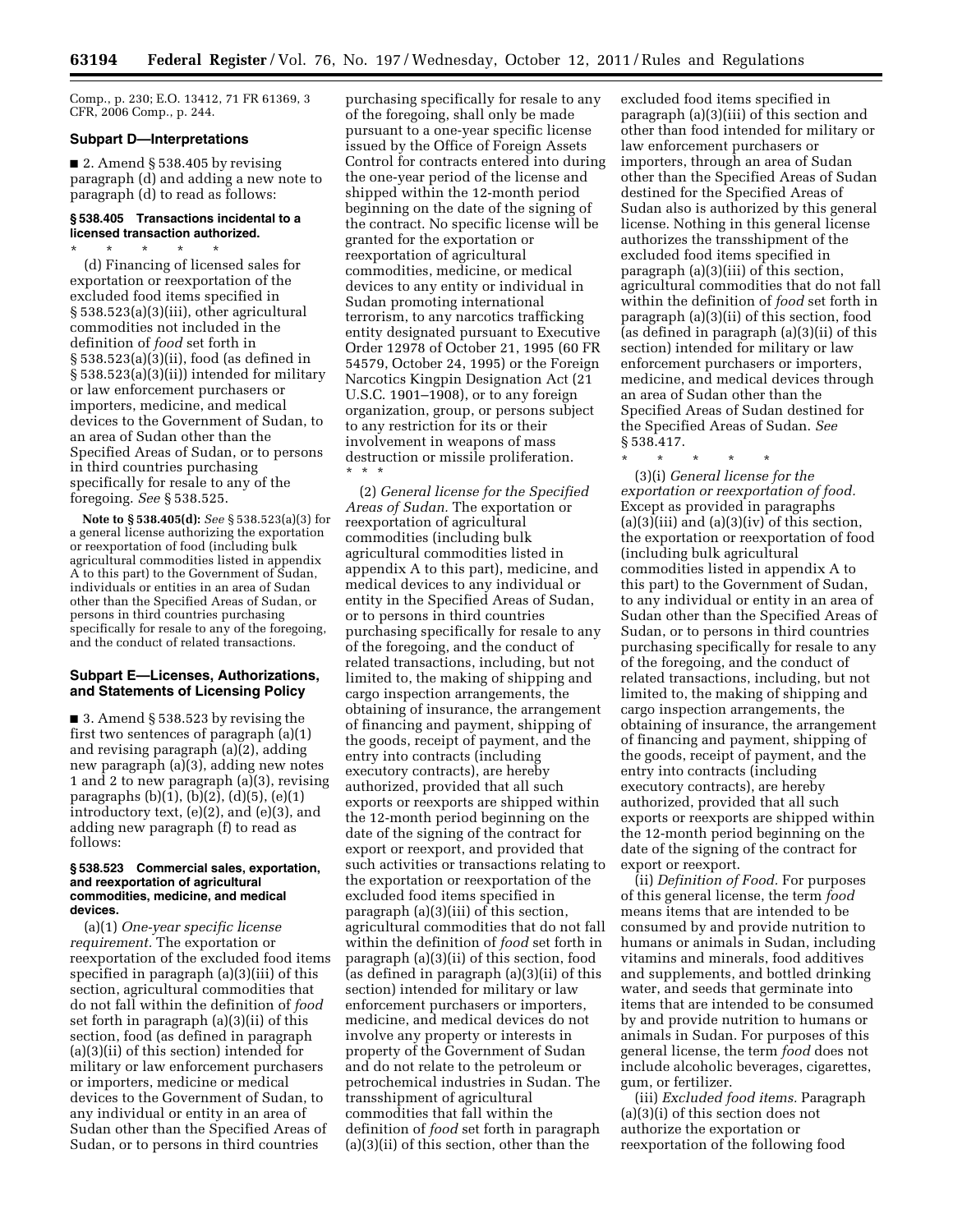Comp., p. 230; E.O. 13412, 71 FR 61369, 3 CFR, 2006 Comp., p. 244.

### **Subpart D—Interpretations**

■ 2. Amend § 538.405 by revising paragraph (d) and adding a new note to paragraph (d) to read as follows:

## **§ 538.405 Transactions incidental to a licensed transaction authorized.**

\* \* \* \* \* (d) Financing of licensed sales for exportation or reexportation of the excluded food items specified in § 538.523(a)(3)(iii), other agricultural commodities not included in the definition of *food* set forth in § 538.523(a)(3)(ii), food (as defined in § 538.523(a)(3)(ii)) intended for military or law enforcement purchasers or importers, medicine, and medical devices to the Government of Sudan, to an area of Sudan other than the Specified Areas of Sudan, or to persons in third countries purchasing specifically for resale to any of the foregoing. *See* § 538.525.

**Note to § 538.405(d):** *See* § 538.523(a)(3) for a general license authorizing the exportation or reexportation of food (including bulk agricultural commodities listed in appendix A to this part) to the Government of Sudan, individuals or entities in an area of Sudan other than the Specified Areas of Sudan, or persons in third countries purchasing specifically for resale to any of the foregoing, and the conduct of related transactions.

## **Subpart E—Licenses, Authorizations, and Statements of Licensing Policy**

■ 3. Amend § 538.523 by revising the first two sentences of paragraph (a)(1) and revising paragraph (a)(2), adding new paragraph (a)(3), adding new notes 1 and 2 to new paragraph (a)(3), revising paragraphs (b)(1), (b)(2), (d)(5), (e)(1) introductory text, (e)(2), and (e)(3), and adding new paragraph (f) to read as follows:

#### **§ 538.523 Commercial sales, exportation, and reexportation of agricultural commodities, medicine, and medical devices.**

(a)(1) *One-year specific license requirement.* The exportation or reexportation of the excluded food items specified in paragraph (a)(3)(iii) of this section, agricultural commodities that do not fall within the definition of *food*  set forth in paragraph (a)(3)(ii) of this section, food (as defined in paragraph (a)(3)(ii) of this section) intended for military or law enforcement purchasers or importers, medicine or medical devices to the Government of Sudan, to any individual or entity in an area of Sudan other than the Specified Areas of Sudan, or to persons in third countries

purchasing specifically for resale to any of the foregoing, shall only be made pursuant to a one-year specific license issued by the Office of Foreign Assets Control for contracts entered into during the one-year period of the license and shipped within the 12-month period beginning on the date of the signing of the contract. No specific license will be granted for the exportation or reexportation of agricultural commodities, medicine, or medical devices to any entity or individual in Sudan promoting international terrorism, to any narcotics trafficking entity designated pursuant to Executive Order 12978 of October 21, 1995 (60 FR 54579, October 24, 1995) or the Foreign Narcotics Kingpin Designation Act (21 U.S.C. 1901–1908), or to any foreign organization, group, or persons subject to any restriction for its or their involvement in weapons of mass destruction or missile proliferation. \* \* \*

(2) *General license for the Specified Areas of Sudan.* The exportation or reexportation of agricultural commodities (including bulk agricultural commodities listed in appendix A to this part), medicine, and medical devices to any individual or entity in the Specified Areas of Sudan, or to persons in third countries purchasing specifically for resale to any of the foregoing, and the conduct of related transactions, including, but not limited to, the making of shipping and cargo inspection arrangements, the obtaining of insurance, the arrangement of financing and payment, shipping of the goods, receipt of payment, and the entry into contracts (including executory contracts), are hereby authorized, provided that all such exports or reexports are shipped within the 12-month period beginning on the date of the signing of the contract for export or reexport, and provided that such activities or transactions relating to the exportation or reexportation of the excluded food items specified in paragraph (a)(3)(iii) of this section, agricultural commodities that do not fall within the definition of *food* set forth in paragraph (a)(3)(ii) of this section, food (as defined in paragraph (a)(3)(ii) of this section) intended for military or law enforcement purchasers or importers, medicine, and medical devices do not involve any property or interests in property of the Government of Sudan and do not relate to the petroleum or petrochemical industries in Sudan. The transshipment of agricultural commodities that fall within the definition of *food* set forth in paragraph (a)(3)(ii) of this section, other than the

excluded food items specified in paragraph (a)(3)(iii) of this section and other than food intended for military or law enforcement purchasers or importers, through an area of Sudan other than the Specified Areas of Sudan destined for the Specified Areas of Sudan also is authorized by this general license. Nothing in this general license authorizes the transshipment of the excluded food items specified in paragraph (a)(3)(iii) of this section, agricultural commodities that do not fall within the definition of *food* set forth in paragraph (a)(3)(ii) of this section, food (as defined in paragraph (a)(3)(ii) of this section) intended for military or law enforcement purchasers or importers, medicine, and medical devices through an area of Sudan other than the Specified Areas of Sudan destined for the Specified Areas of Sudan. *See*  § 538.417.

\* \* \* \* \* (3)(i) *General license for the exportation or reexportation of food.*  Except as provided in paragraphs  $(a)(3)(iii)$  and  $(a)(3)(iv)$  of this section, the exportation or reexportation of food (including bulk agricultural commodities listed in appendix A to this part) to the Government of Sudan, to any individual or entity in an area of Sudan other than the Specified Areas of Sudan, or to persons in third countries purchasing specifically for resale to any of the foregoing, and the conduct of related transactions, including, but not limited to, the making of shipping and cargo inspection arrangements, the obtaining of insurance, the arrangement of financing and payment, shipping of the goods, receipt of payment, and the entry into contracts (including executory contracts), are hereby authorized, provided that all such exports or reexports are shipped within the 12-month period beginning on the date of the signing of the contract for export or reexport.

(ii) *Definition of Food.* For purposes of this general license, the term *food*  means items that are intended to be consumed by and provide nutrition to humans or animals in Sudan, including vitamins and minerals, food additives and supplements, and bottled drinking water, and seeds that germinate into items that are intended to be consumed by and provide nutrition to humans or animals in Sudan. For purposes of this general license, the term *food* does not include alcoholic beverages, cigarettes, gum, or fertilizer.

(iii) *Excluded food items.* Paragraph (a)(3)(i) of this section does not authorize the exportation or reexportation of the following food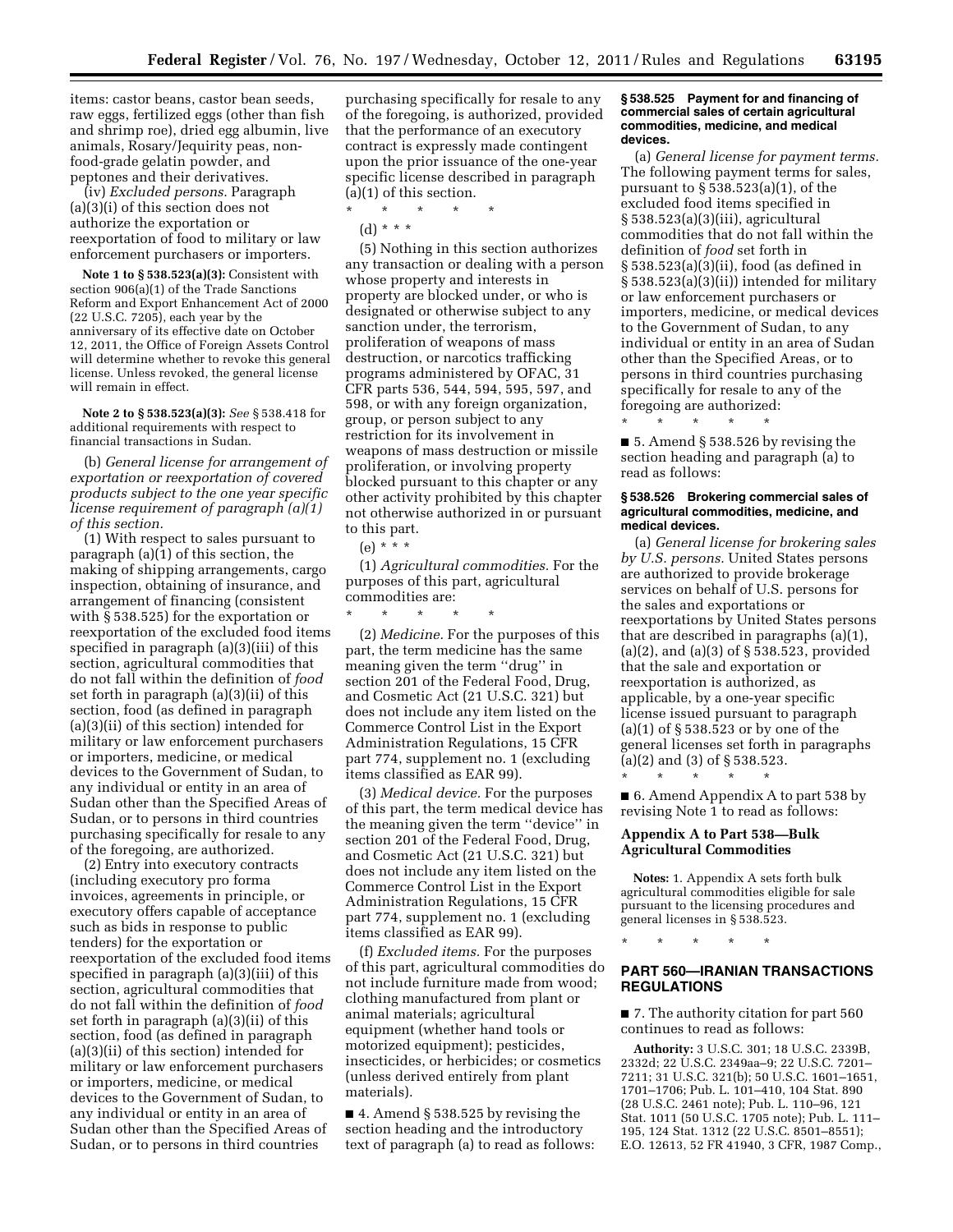items: castor beans, castor bean seeds, raw eggs, fertilized eggs (other than fish and shrimp roe), dried egg albumin, live animals, Rosary/Jequirity peas, nonfood-grade gelatin powder, and peptones and their derivatives.

(iv) *Excluded persons.* Paragraph (a)(3)(i) of this section does not authorize the exportation or reexportation of food to military or law enforcement purchasers or importers.

**Note 1 to § 538.523(a)(3):** Consistent with section 906(a)(1) of the Trade Sanctions Reform and Export Enhancement Act of 2000 (22 U.S.C. 7205), each year by the anniversary of its effective date on October 12, 2011, the Office of Foreign Assets Control will determine whether to revoke this general license. Unless revoked, the general license will remain in effect.

**Note 2 to § 538.523(a)(3):** *See* § 538.418 for additional requirements with respect to financial transactions in Sudan.

(b) *General license for arrangement of exportation or reexportation of covered products subject to the one year specific license requirement of paragraph (a)(1) of this section.* 

(1) With respect to sales pursuant to paragraph (a)(1) of this section, the making of shipping arrangements, cargo inspection, obtaining of insurance, and arrangement of financing (consistent with § 538.525) for the exportation or reexportation of the excluded food items specified in paragraph (a)(3)(iii) of this section, agricultural commodities that do not fall within the definition of *food*  set forth in paragraph (a)(3)(ii) of this section, food (as defined in paragraph (a)(3)(ii) of this section) intended for military or law enforcement purchasers or importers, medicine, or medical devices to the Government of Sudan, to any individual or entity in an area of Sudan other than the Specified Areas of Sudan, or to persons in third countries purchasing specifically for resale to any of the foregoing, are authorized.

(2) Entry into executory contracts (including executory pro forma invoices, agreements in principle, or executory offers capable of acceptance such as bids in response to public tenders) for the exportation or reexportation of the excluded food items specified in paragraph (a)(3)(iii) of this section, agricultural commodities that do not fall within the definition of *food*  set forth in paragraph (a)(3)(ii) of this section, food (as defined in paragraph (a)(3)(ii) of this section) intended for military or law enforcement purchasers or importers, medicine, or medical devices to the Government of Sudan, to any individual or entity in an area of Sudan other than the Specified Areas of Sudan, or to persons in third countries

purchasing specifically for resale to any of the foregoing, is authorized, provided that the performance of an executory contract is expressly made contingent upon the prior issuance of the one-year specific license described in paragraph (a)(1) of this section.

(d) \* \* \*

\* \* \* \* \*

(5) Nothing in this section authorizes any transaction or dealing with a person whose property and interests in property are blocked under, or who is designated or otherwise subject to any sanction under, the terrorism, proliferation of weapons of mass destruction, or narcotics trafficking programs administered by OFAC, 31 CFR parts 536, 544, 594, 595, 597, and 598, or with any foreign organization, group, or person subject to any restriction for its involvement in weapons of mass destruction or missile proliferation, or involving property blocked pursuant to this chapter or any other activity prohibited by this chapter not otherwise authorized in or pursuant to this part.

# (e) \* \* \*

\* \* \* \* \*

(1) *Agricultural commodities.* For the purposes of this part, agricultural commodities are:

(2) *Medicine.* For the purposes of this part, the term medicine has the same meaning given the term ''drug'' in section 201 of the Federal Food, Drug, and Cosmetic Act (21 U.S.C. 321) but does not include any item listed on the Commerce Control List in the Export Administration Regulations, 15 CFR part 774, supplement no. 1 (excluding items classified as EAR 99).

(3) *Medical device.* For the purposes of this part, the term medical device has the meaning given the term ''device'' in section 201 of the Federal Food, Drug, and Cosmetic Act (21 U.S.C. 321) but does not include any item listed on the Commerce Control List in the Export Administration Regulations, 15 CFR part 774, supplement no. 1 (excluding items classified as EAR 99).

(f) *Excluded items.* For the purposes of this part, agricultural commodities do not include furniture made from wood; clothing manufactured from plant or animal materials; agricultural equipment (whether hand tools or motorized equipment); pesticides, insecticides, or herbicides; or cosmetics (unless derived entirely from plant materials).

■ 4. Amend § 538.525 by revising the section heading and the introductory text of paragraph (a) to read as follows:

### **§ 538.525 Payment for and financing of commercial sales of certain agricultural commodities, medicine, and medical devices.**

(a) *General license for payment terms.*  The following payment terms for sales, pursuant to § 538.523(a)(1), of the excluded food items specified in § 538.523(a)(3)(iii), agricultural commodities that do not fall within the definition of *food* set forth in § 538.523(a)(3)(ii), food (as defined in § 538.523(a)(3)(ii)) intended for military or law enforcement purchasers or importers, medicine, or medical devices to the Government of Sudan, to any individual or entity in an area of Sudan other than the Specified Areas, or to persons in third countries purchasing specifically for resale to any of the foregoing are authorized:

\* \* \* \* \*

■ 5. Amend § 538.526 by revising the section heading and paragraph (a) to read as follows:

#### **§ 538.526 Brokering commercial sales of agricultural commodities, medicine, and medical devices.**

(a) *General license for brokering sales by U.S. persons.* United States persons are authorized to provide brokerage services on behalf of U.S. persons for the sales and exportations or reexportations by United States persons that are described in paragraphs (a)(1), (a)(2), and (a)(3) of § 538.523, provided that the sale and exportation or reexportation is authorized, as applicable, by a one-year specific license issued pursuant to paragraph (a)(1) of § 538.523 or by one of the general licenses set forth in paragraphs  $(a)(2)$  and  $(3)$  of  $\S$  538.523.

\* \* \* \* \*

■ 6. Amend Appendix A to part 538 by revising Note 1 to read as follows:

## **Appendix A to Part 538—Bulk Agricultural Commodities**

**Notes:** 1. Appendix A sets forth bulk agricultural commodities eligible for sale pursuant to the licensing procedures and general licenses in § 538.523.

\* \* \* \* \*

## **PART 560—IRANIAN TRANSACTIONS REGULATIONS**

■ 7. The authority citation for part 560 continues to read as follows:

**Authority:** 3 U.S.C. 301; 18 U.S.C. 2339B, 2332d; 22 U.S.C. 2349aa–9; 22 U.S.C. 7201– 7211; 31 U.S.C. 321(b); 50 U.S.C. 1601–1651, 1701–1706; Pub. L. 101–410, 104 Stat. 890 (28 U.S.C. 2461 note); Pub. L. 110–96, 121 Stat. 1011 (50 U.S.C. 1705 note); Pub. L. 111– 195, 124 Stat. 1312 (22 U.S.C. 8501–8551); E.O. 12613, 52 FR 41940, 3 CFR, 1987 Comp.,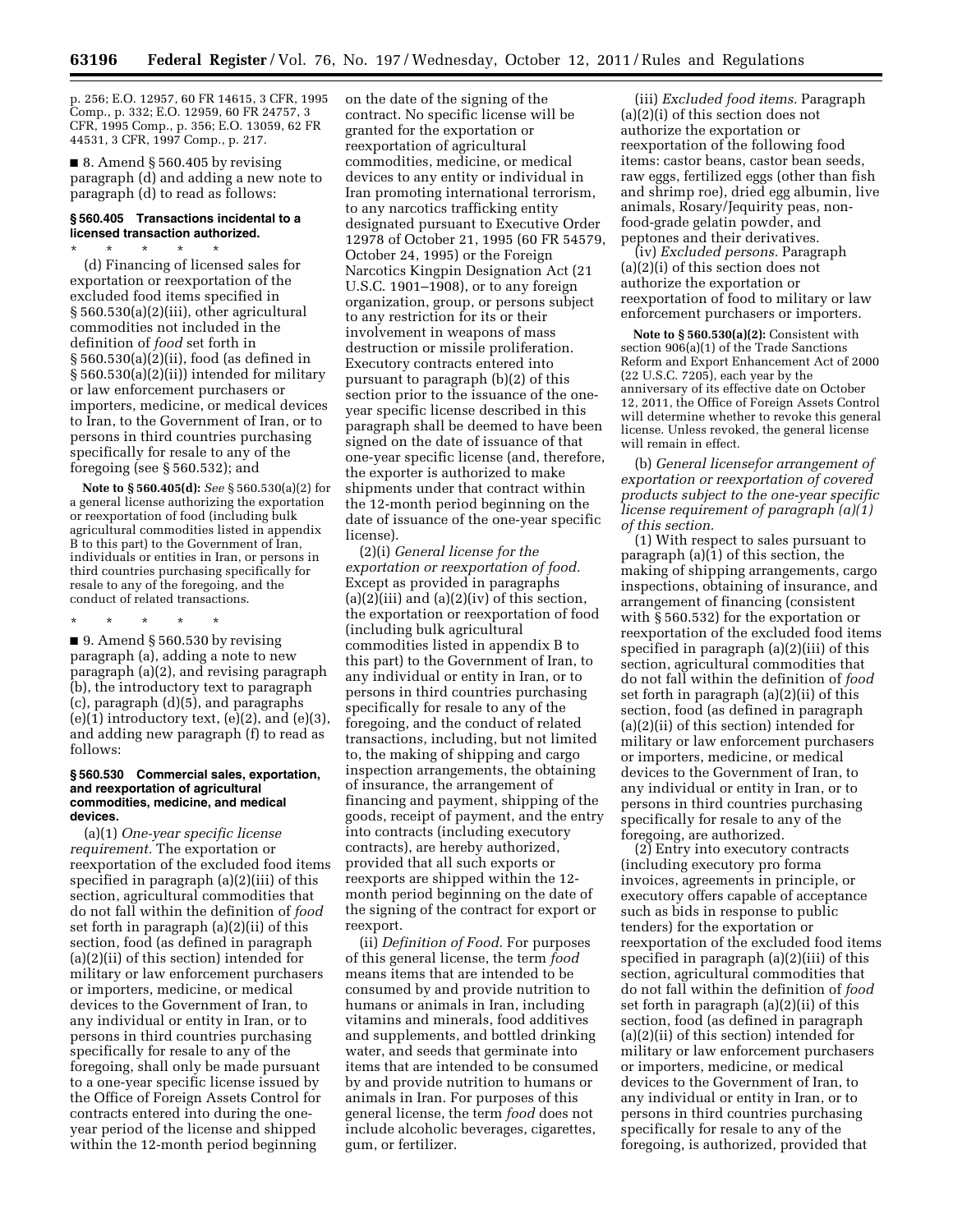p. 256; E.O. 12957, 60 FR 14615, 3 CFR, 1995 Comp., p. 332; E.O. 12959, 60 FR 24757, 3 CFR, 1995 Comp., p. 356; E.O. 13059, 62 FR 44531, 3 CFR, 1997 Comp., p. 217.

■ 8. Amend § 560.405 by revising paragraph (d) and adding a new note to paragraph (d) to read as follows:

## **§ 560.405 Transactions incidental to a licensed transaction authorized.**

\* \* \* \* \* (d) Financing of licensed sales for exportation or reexportation of the excluded food items specified in § 560.530(a)(2)(iii), other agricultural commodities not included in the definition of *food* set forth in § 560.530(a)(2)(ii), food (as defined in § 560.530(a)(2)(ii)) intended for military or law enforcement purchasers or importers, medicine, or medical devices to Iran, to the Government of Iran, or to persons in third countries purchasing specifically for resale to any of the foregoing (see § 560.532); and

**Note to § 560.405(d):** *See* § 560.530(a)(2) for a general license authorizing the exportation or reexportation of food (including bulk agricultural commodities listed in appendix B to this part) to the Government of Iran, individuals or entities in Iran, or persons in third countries purchasing specifically for resale to any of the foregoing, and the conduct of related transactions.

\* \* \* \* \*

 $\blacksquare$  9. Amend § 560.530 by revising paragraph (a), adding a note to new paragraph (a)(2), and revising paragraph (b), the introductory text to paragraph (c), paragraph (d)(5), and paragraphs  $(e)(1)$  introductory text,  $(e)(2)$ , and  $(e)(3)$ , and adding new paragraph (f) to read as follows:

#### **§ 560.530 Commercial sales, exportation, and reexportation of agricultural commodities, medicine, and medical devices.**

(a)(1) *One-year specific license requirement.* The exportation or reexportation of the excluded food items specified in paragraph (a)(2)(iii) of this section, agricultural commodities that do not fall within the definition of *food*  set forth in paragraph (a)(2)(ii) of this section, food (as defined in paragraph (a)(2)(ii) of this section) intended for military or law enforcement purchasers or importers, medicine, or medical devices to the Government of Iran, to any individual or entity in Iran, or to persons in third countries purchasing specifically for resale to any of the foregoing, shall only be made pursuant to a one-year specific license issued by the Office of Foreign Assets Control for contracts entered into during the oneyear period of the license and shipped within the 12-month period beginning

on the date of the signing of the contract. No specific license will be granted for the exportation or reexportation of agricultural commodities, medicine, or medical devices to any entity or individual in Iran promoting international terrorism, to any narcotics trafficking entity designated pursuant to Executive Order 12978 of October 21, 1995 (60 FR 54579, October 24, 1995) or the Foreign Narcotics Kingpin Designation Act (21 U.S.C. 1901–1908), or to any foreign organization, group, or persons subject to any restriction for its or their involvement in weapons of mass destruction or missile proliferation. Executory contracts entered into pursuant to paragraph (b)(2) of this section prior to the issuance of the oneyear specific license described in this paragraph shall be deemed to have been signed on the date of issuance of that one-year specific license (and, therefore, the exporter is authorized to make shipments under that contract within the 12-month period beginning on the date of issuance of the one-year specific license).

(2)(i) *General license for the exportation or reexportation of food.*  Except as provided in paragraphs  $(a)(2)(iii)$  and  $(a)(2)(iv)$  of this section, the exportation or reexportation of food (including bulk agricultural commodities listed in appendix B to this part) to the Government of Iran, to any individual or entity in Iran, or to persons in third countries purchasing specifically for resale to any of the foregoing, and the conduct of related transactions, including, but not limited to, the making of shipping and cargo inspection arrangements, the obtaining of insurance, the arrangement of financing and payment, shipping of the goods, receipt of payment, and the entry into contracts (including executory contracts), are hereby authorized, provided that all such exports or reexports are shipped within the 12 month period beginning on the date of the signing of the contract for export or reexport.

(ii) *Definition of Food.* For purposes of this general license, the term *food*  means items that are intended to be consumed by and provide nutrition to humans or animals in Iran, including vitamins and minerals, food additives and supplements, and bottled drinking water, and seeds that germinate into items that are intended to be consumed by and provide nutrition to humans or animals in Iran. For purposes of this general license, the term *food* does not include alcoholic beverages, cigarettes, gum, or fertilizer.

(iii) *Excluded food items.* Paragraph (a)(2)(i) of this section does not authorize the exportation or reexportation of the following food items: castor beans, castor bean seeds, raw eggs, fertilized eggs (other than fish and shrimp roe), dried egg albumin, live animals, Rosary/Jequirity peas, nonfood-grade gelatin powder, and peptones and their derivatives.

(iv) *Excluded persons.* Paragraph (a)(2)(i) of this section does not authorize the exportation or reexportation of food to military or law enforcement purchasers or importers.

**Note to § 560.530(a)(2):** Consistent with section 906(a)(1) of the Trade Sanctions Reform and Export Enhancement Act of 2000 (22 U.S.C. 7205), each year by the anniversary of its effective date on October 12, 2011, the Office of Foreign Assets Control will determine whether to revoke this general license. Unless revoked, the general license will remain in effect.

(b) *General licensefor arrangement of exportation or reexportation of covered products subject to the one-year specific license requirement of paragraph (a)(1) of this section.* 

(1) With respect to sales pursuant to paragraph (a)(1) of this section, the making of shipping arrangements, cargo inspections, obtaining of insurance, and arrangement of financing (consistent with § 560.532) for the exportation or reexportation of the excluded food items specified in paragraph (a)(2)(iii) of this section, agricultural commodities that do not fall within the definition of *food*  set forth in paragraph (a)(2)(ii) of this section, food (as defined in paragraph (a)(2)(ii) of this section) intended for military or law enforcement purchasers or importers, medicine, or medical devices to the Government of Iran, to any individual or entity in Iran, or to persons in third countries purchasing specifically for resale to any of the foregoing, are authorized.

(2) Entry into executory contracts (including executory pro forma invoices, agreements in principle, or executory offers capable of acceptance such as bids in response to public tenders) for the exportation or reexportation of the excluded food items specified in paragraph (a)(2)(iii) of this section, agricultural commodities that do not fall within the definition of *food*  set forth in paragraph (a)(2)(ii) of this section, food (as defined in paragraph (a)(2)(ii) of this section) intended for military or law enforcement purchasers or importers, medicine, or medical devices to the Government of Iran, to any individual or entity in Iran, or to persons in third countries purchasing specifically for resale to any of the foregoing, is authorized, provided that